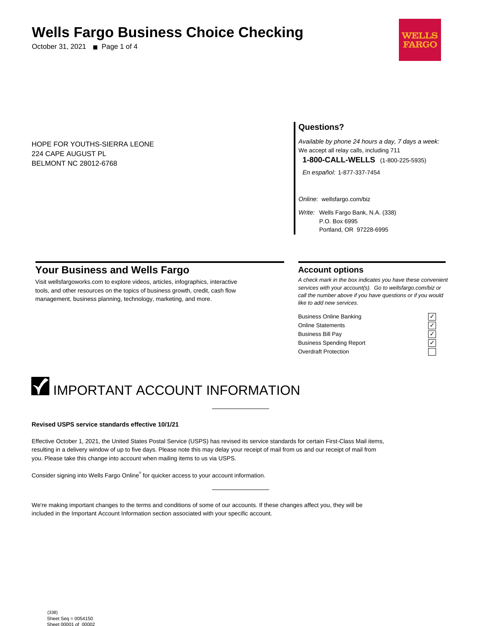## **Wells Fargo Business Choice Checking**

October 31, 2021 ■ Page 1 of 4



HOPE FOR YOUTHS-SIERRA LEONE 224 CAPE AUGUST PL BELMONT NC 28012-6768

## **Questions?**

Available by phone 24 hours a day, 7 days a week: We accept all relay calls, including 711 **1-800-CALL-WELLS** (1-800-225-5935)

En español: 1-877-337-7454

Online: wellsfargo.com/biz

Write: Wells Fargo Bank, N.A. (338) P.O. Box 6995 Portland, OR 97228-6995

## **Your Business and Wells Fargo**

Visit wellsfargoworks.com to explore videos, articles, infographics, interactive tools, and other resources on the topics of business growth, credit, cash flow management, business planning, technology, marketing, and more.

## **Account options**

A check mark in the box indicates you have these convenient services with your account(s). Go to wellsfargo.com/biz or call the number above if you have questions or if you would like to add new services.

Business Online Banking Online Statements Business Bill Pay Business Spending Report Overdraft Protection

# **IMPORTANT ACCOUNT INFORMATION**

#### **Revised USPS service standards effective 10/1/21**

Effective October 1, 2021, the United States Postal Service (USPS) has revised its service standards for certain First-Class Mail items, resulting in a delivery window of up to five days. Please note this may delay your receipt of mail from us and our receipt of mail from you. Please take this change into account when mailing items to us via USPS.

Consider signing into Wells Fargo Online® for quicker access to your account information.

We're making important changes to the terms and conditions of some of our accounts. If these changes affect you, they will be included in the Important Account Information section associated with your specific account.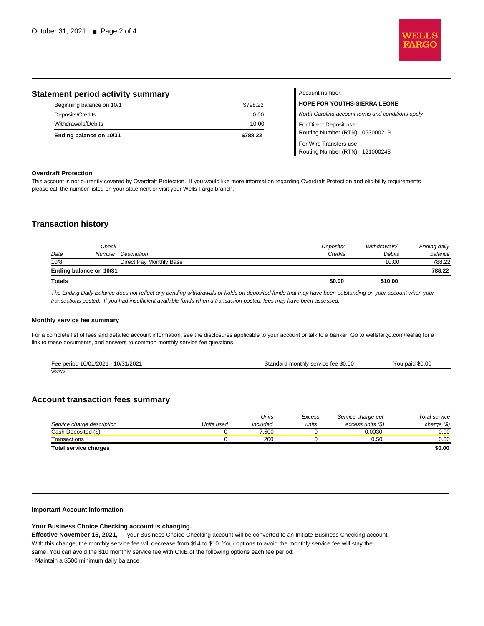

Routing Number (RTN): 121000248

| <b>Statement period activity summary</b> |          | Account number:                                   |
|------------------------------------------|----------|---------------------------------------------------|
| Beginning balance on 10/1                | \$798.22 | <b>HOPE FOR YOUTHS-SIERRA LEONE</b>               |
| Deposits/Credits                         | 0.00     | North Carolina account terms and conditions apply |
| Withdrawals/Debits                       | $-10.00$ | For Direct Deposit use                            |
| Ending balance on 10/31                  | \$788.22 | Routing Number (RTN): 053000219                   |
|                                          |          | For Wire Transfers use                            |

### **Overdraft Protection**

This account is not currently covered by Overdraft Protection. If you would like more information regarding Overdraft Protection and eligibility requirements please call the number listed on your statement or visit your Wells Fargo branch.

## **Transaction history**

| Date          | Check                   | Number Description      | Deposits/<br>Credits | Withdrawals/<br>Debits | Ending daily<br>balance |
|---------------|-------------------------|-------------------------|----------------------|------------------------|-------------------------|
| 10/8          |                         | Direct Pay Monthly Base |                      | 10.00                  | 788.22                  |
|               | Ending balance on 10/31 |                         |                      |                        | 788.22                  |
| <b>Totals</b> |                         |                         | \$0.00               | \$10.00                |                         |

The Ending Daily Balance does not reflect any pending withdrawals or holds on deposited funds that may have been outstanding on your account when your transactions posted. If you had insufficient available funds when a transaction posted, fees may have been assessed.

## **Monthly service fee summary**

For a complete list of fees and detailed account information, see the disclosures applicable to your account or talk to a banker. Go to wellsfargo.com/feefaq for a link to these documents, and answers to common monthly service fee questions.

| Fee period 10/01/2021 - 10/31/2021 | Standard monthly service fee \$0.00 | You paid \$0.00 |
|------------------------------------|-------------------------------------|-----------------|
| WX/W5                              |                                     |                 |

## **Account transaction fees summary**

|                              |            | Units    | Excess | Service charge per | Total service |
|------------------------------|------------|----------|--------|--------------------|---------------|
| Service charge description   | Units used | included | units  | excess units (\$)  | charge $(\$)$ |
| Cash Deposited (\$)          |            | 7.500    |        | 0.0030             | 0.00          |
| Transactions                 |            | 200      |        | 0.50               | 0.00          |
| <b>Total service charges</b> |            |          |        |                    | \$0.00        |

#### **Important Account Information**

## **Your Business Choice Checking account is changing.**

**Effective November 15, 2021,** your Business Choice Checking account will be converted to an Initiate Business Checking account. With this change, the monthly service fee will decrease from \$14 to \$10. Your options to avoid the monthly service fee will stay the same. You can avoid the \$10 monthly service fee with ONE of the following options each fee period:

- Maintain a \$500 minimum daily balance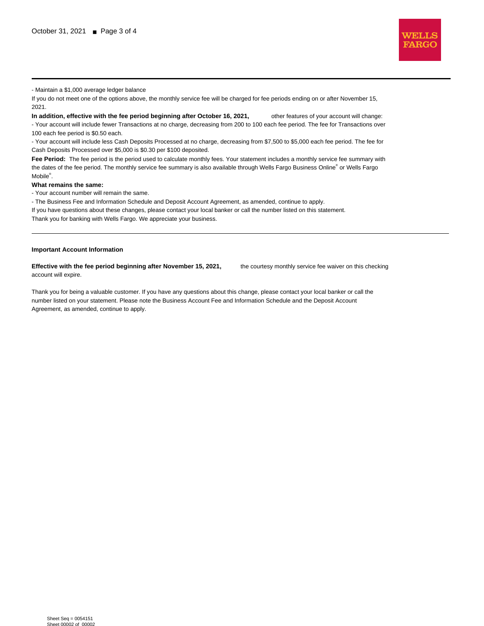

- Maintain a \$1,000 average ledger balance

If you do not meet one of the options above, the monthly service fee will be charged for fee periods ending on or after November 15, 2021.

**In addition, effective with the fee period beginning after October 16, 2021,** other features of your account will change: - Your account will include fewer Transactions at no charge, decreasing from 200 to 100 each fee period. The fee for Transactions over 100 each fee period is \$0.50 each.

- Your account will include less Cash Deposits Processed at no charge, decreasing from \$7,500 to \$5,000 each fee period. The fee for Cash Deposits Processed over \$5,000 is \$0.30 per \$100 deposited.

Fee Period: The fee period is the period used to calculate monthly fees. Your statement includes a monthly service fee summary with the dates of the fee period. The monthly service fee summary is also available through Wells Fargo Business Online® or Wells Fargo Mobile<sup>®</sup>.

#### **What remains the same:**

- Your account number will remain the same.

- The Business Fee and Information Schedule and Deposit Account Agreement, as amended, continue to apply.

If you have questions about these changes, please contact your local banker or call the number listed on this statement. Thank you for banking with Wells Fargo. We appreciate your business.

#### **Important Account Information**

**Effective with the fee period beginning after November 15, 2021,** the courtesy monthly service fee waiver on this checking account will expire.

Thank you for being a valuable customer. If you have any questions about this change, please contact your local banker or call the number listed on your statement. Please note the Business Account Fee and Information Schedule and the Deposit Account Agreement, as amended, continue to apply.